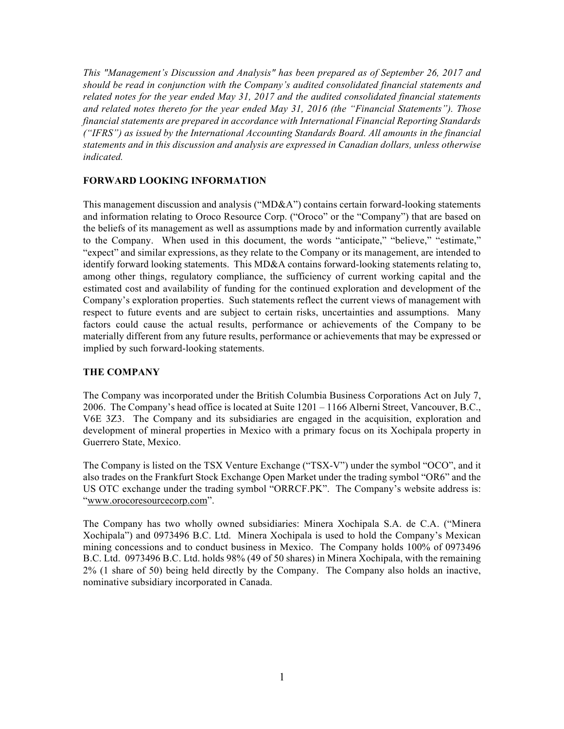*This "Management's Discussion and Analysis" has been prepared as of September 26, 2017 and should be read in conjunction with the Company's audited consolidated financial statements and related notes for the year ended May 31, 2017 and the audited consolidated financial statements and related notes thereto for the year ended May 31, 2016 (the "Financial Statements"). Those financial statements are prepared in accordance with International Financial Reporting Standards ("IFRS") as issued by the International Accounting Standards Board. All amounts in the financial statements and in this discussion and analysis are expressed in Canadian dollars, unless otherwise indicated.*

## **FORWARD LOOKING INFORMATION**

This management discussion and analysis ("MD&A") contains certain forward-looking statements and information relating to Oroco Resource Corp. ("Oroco" or the "Company") that are based on the beliefs of its management as well as assumptions made by and information currently available to the Company. When used in this document, the words "anticipate," "believe," "estimate," "expect" and similar expressions, as they relate to the Company or its management, are intended to identify forward looking statements. This MD&A contains forward-looking statements relating to, among other things, regulatory compliance, the sufficiency of current working capital and the estimated cost and availability of funding for the continued exploration and development of the Company's exploration properties. Such statements reflect the current views of management with respect to future events and are subject to certain risks, uncertainties and assumptions. Many factors could cause the actual results, performance or achievements of the Company to be materially different from any future results, performance or achievements that may be expressed or implied by such forward-looking statements.

## **THE COMPANY**

The Company was incorporated under the British Columbia Business Corporations Act on July 7, 2006. The Company's head office is located at Suite 1201 – 1166 Alberni Street, Vancouver, B.C., V6E 3Z3. The Company and its subsidiaries are engaged in the acquisition, exploration and development of mineral properties in Mexico with a primary focus on its Xochipala property in Guerrero State, Mexico.

The Company is listed on the TSX Venture Exchange ("TSX-V") under the symbol "OCO", and it also trades on the Frankfurt Stock Exchange Open Market under the trading symbol "OR6" and the US OTC exchange under the trading symbol "ORRCF.PK". The Company's website address is: "www.orocoresourcecorp.com".

The Company has two wholly owned subsidiaries: Minera Xochipala S.A. de C.A. ("Minera Xochipala") and 0973496 B.C. Ltd. Minera Xochipala is used to hold the Company's Mexican mining concessions and to conduct business in Mexico. The Company holds 100% of 0973496 B.C. Ltd. 0973496 B.C. Ltd. holds 98% (49 of 50 shares) in Minera Xochipala, with the remaining 2% (1 share of 50) being held directly by the Company. The Company also holds an inactive, nominative subsidiary incorporated in Canada.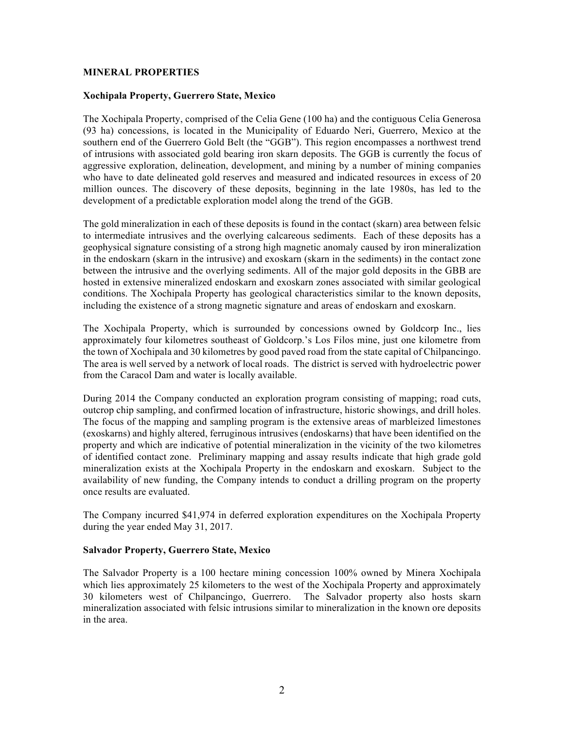#### **MINERAL PROPERTIES**

#### **Xochipala Property, Guerrero State, Mexico**

The Xochipala Property, comprised of the Celia Gene (100 ha) and the contiguous Celia Generosa (93 ha) concessions, is located in the Municipality of Eduardo Neri, Guerrero, Mexico at the southern end of the Guerrero Gold Belt (the "GGB"). This region encompasses a northwest trend of intrusions with associated gold bearing iron skarn deposits. The GGB is currently the focus of aggressive exploration, delineation, development, and mining by a number of mining companies who have to date delineated gold reserves and measured and indicated resources in excess of 20 million ounces. The discovery of these deposits, beginning in the late 1980s, has led to the development of a predictable exploration model along the trend of the GGB.

The gold mineralization in each of these deposits is found in the contact (skarn) area between felsic to intermediate intrusives and the overlying calcareous sediments. Each of these deposits has a geophysical signature consisting of a strong high magnetic anomaly caused by iron mineralization in the endoskarn (skarn in the intrusive) and exoskarn (skarn in the sediments) in the contact zone between the intrusive and the overlying sediments. All of the major gold deposits in the GBB are hosted in extensive mineralized endoskarn and exoskarn zones associated with similar geological conditions. The Xochipala Property has geological characteristics similar to the known deposits, including the existence of a strong magnetic signature and areas of endoskarn and exoskarn.

The Xochipala Property, which is surrounded by concessions owned by Goldcorp Inc., lies approximately four kilometres southeast of Goldcorp.'s Los Filos mine, just one kilometre from the town of Xochipala and 30 kilometres by good paved road from the state capital of Chilpancingo. The area is well served by a network of local roads. The district is served with hydroelectric power from the Caracol Dam and water is locally available.

During 2014 the Company conducted an exploration program consisting of mapping; road cuts, outcrop chip sampling, and confirmed location of infrastructure, historic showings, and drill holes. The focus of the mapping and sampling program is the extensive areas of marbleized limestones (exoskarns) and highly altered, ferruginous intrusives (endoskarns) that have been identified on the property and which are indicative of potential mineralization in the vicinity of the two kilometres of identified contact zone. Preliminary mapping and assay results indicate that high grade gold mineralization exists at the Xochipala Property in the endoskarn and exoskarn. Subject to the availability of new funding, the Company intends to conduct a drilling program on the property once results are evaluated.

The Company incurred \$41,974 in deferred exploration expenditures on the Xochipala Property during the year ended May 31, 2017.

## **Salvador Property, Guerrero State, Mexico**

The Salvador Property is a 100 hectare mining concession 100% owned by Minera Xochipala which lies approximately 25 kilometers to the west of the Xochipala Property and approximately 30 kilometers west of Chilpancingo, Guerrero. The Salvador property also hosts skarn mineralization associated with felsic intrusions similar to mineralization in the known ore deposits in the area.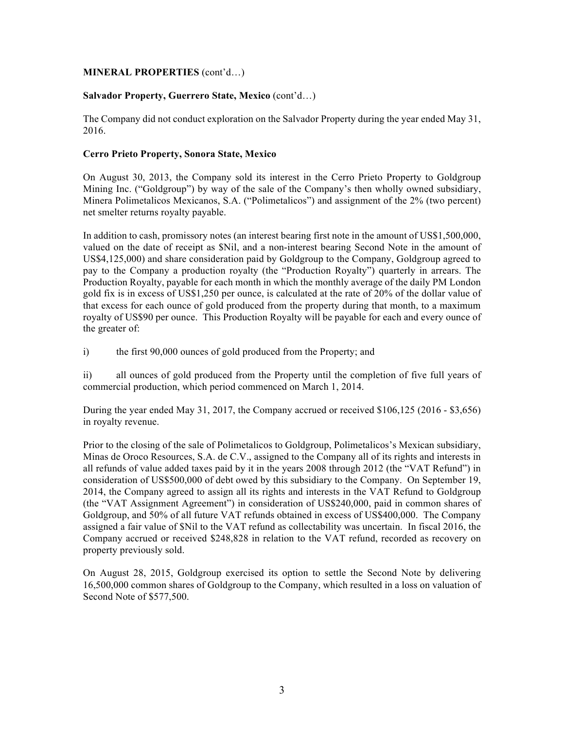## **MINERAL PROPERTIES** (cont'd…)

# **Salvador Property, Guerrero State, Mexico** (cont'd…)

The Company did not conduct exploration on the Salvador Property during the year ended May 31, 2016.

# **Cerro Prieto Property, Sonora State, Mexico**

On August 30, 2013, the Company sold its interest in the Cerro Prieto Property to Goldgroup Mining Inc. ("Goldgroup") by way of the sale of the Company's then wholly owned subsidiary, Minera Polimetalicos Mexicanos, S.A. ("Polimetalicos") and assignment of the 2% (two percent) net smelter returns royalty payable.

In addition to cash, promissory notes (an interest bearing first note in the amount of US\$1,500,000, valued on the date of receipt as \$Nil, and a non-interest bearing Second Note in the amount of US\$4,125,000) and share consideration paid by Goldgroup to the Company, Goldgroup agreed to pay to the Company a production royalty (the "Production Royalty") quarterly in arrears. The Production Royalty, payable for each month in which the monthly average of the daily PM London gold fix is in excess of US\$1,250 per ounce, is calculated at the rate of 20% of the dollar value of that excess for each ounce of gold produced from the property during that month, to a maximum royalty of US\$90 per ounce. This Production Royalty will be payable for each and every ounce of the greater of:

i) the first 90,000 ounces of gold produced from the Property; and

ii) all ounces of gold produced from the Property until the completion of five full years of commercial production, which period commenced on March 1, 2014.

During the year ended May 31, 2017, the Company accrued or received \$106,125 (2016 - \$3,656) in royalty revenue.

Prior to the closing of the sale of Polimetalicos to Goldgroup, Polimetalicos's Mexican subsidiary, Minas de Oroco Resources, S.A. de C.V., assigned to the Company all of its rights and interests in all refunds of value added taxes paid by it in the years 2008 through 2012 (the "VAT Refund") in consideration of US\$500,000 of debt owed by this subsidiary to the Company. On September 19, 2014, the Company agreed to assign all its rights and interests in the VAT Refund to Goldgroup (the "VAT Assignment Agreement") in consideration of US\$240,000, paid in common shares of Goldgroup, and 50% of all future VAT refunds obtained in excess of US\$400,000. The Company assigned a fair value of \$Nil to the VAT refund as collectability was uncertain. In fiscal 2016, the Company accrued or received \$248,828 in relation to the VAT refund, recorded as recovery on property previously sold.

On August 28, 2015, Goldgroup exercised its option to settle the Second Note by delivering 16,500,000 common shares of Goldgroup to the Company, which resulted in a loss on valuation of Second Note of \$577,500.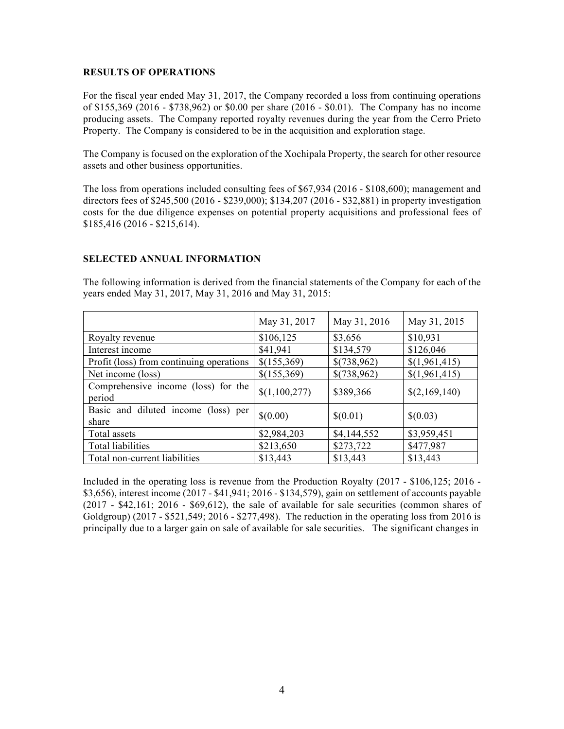#### **RESULTS OF OPERATIONS**

For the fiscal year ended May 31, 2017, the Company recorded a loss from continuing operations of \$155,369 (2016 - \$738,962) or \$0.00 per share (2016 - \$0.01). The Company has no income producing assets. The Company reported royalty revenues during the year from the Cerro Prieto Property. The Company is considered to be in the acquisition and exploration stage.

The Company is focused on the exploration of the Xochipala Property, the search for other resource assets and other business opportunities.

The loss from operations included consulting fees of \$67,934 (2016 - \$108,600); management and directors fees of \$245,500 (2016 - \$239,000); \$134,207 (2016 - \$32,881) in property investigation costs for the due diligence expenses on potential property acquisitions and professional fees of \$185,416 (2016 - \$215,614).

## **SELECTED ANNUAL INFORMATION**

The following information is derived from the financial statements of the Company for each of the years ended May 31, 2017, May 31, 2016 and May 31, 2015:

|                                               | May 31, 2017  | May 31, 2016 | May 31, 2015  |
|-----------------------------------------------|---------------|--------------|---------------|
| Royalty revenue                               | \$106,125     | \$3,656      | \$10,931      |
| Interest income                               | \$41,941      | \$134,579    | \$126,046     |
| Profit (loss) from continuing operations      | \$(155,369)   | \$(738,962)  | \$(1,961,415) |
| Net income (loss)                             | \$(155,369)   | \$(738,962)  | \$(1,961,415) |
| Comprehensive income (loss) for the<br>period | \$(1,100,277) | \$389,366    | \$(2,169,140) |
| Basic and diluted income (loss) per<br>share  | \$(0.00)      | \$(0.01)     | \$(0.03)      |
| Total assets                                  | \$2,984,203   | \$4,144,552  | \$3,959,451   |
| Total liabilities                             | \$213,650     | \$273,722    | \$477,987     |
| Total non-current liabilities                 | \$13,443      | \$13,443     | \$13,443      |

Included in the operating loss is revenue from the Production Royalty (2017 - \$106,125; 2016 - \$3,656), interest income (2017 - \$41,941; 2016 - \$134,579), gain on settlement of accounts payable (2017 - \$42,161; 2016 - \$69,612), the sale of available for sale securities (common shares of Goldgroup) (2017 - \$521,549; 2016 - \$277,498). The reduction in the operating loss from 2016 is principally due to a larger gain on sale of available for sale securities. The significant changes in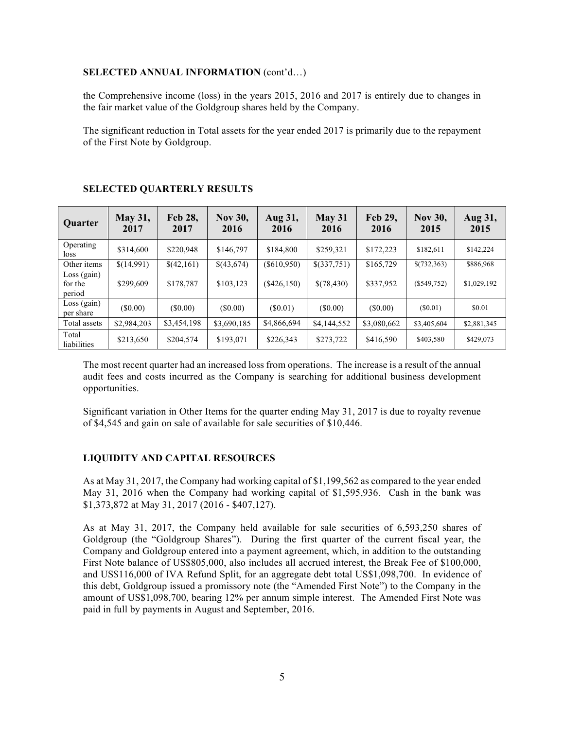#### **SELECTED ANNUAL INFORMATION** (cont'd…)

the Comprehensive income (loss) in the years 2015, 2016 and 2017 is entirely due to changes in the fair market value of the Goldgroup shares held by the Company.

The significant reduction in Total assets for the year ended 2017 is primarily due to the repayment of the First Note by Goldgroup.

| Quarter                            | <b>May 31,</b><br>2017 | <b>Feb 28,</b><br>2017 | <b>Nov 30,</b><br>2016 | Aug 31,<br>2016 | May 31<br>2016 | <b>Feb 29,</b><br>2016 | <b>Nov 30,</b><br>2015 | Aug 31,<br>2015 |
|------------------------------------|------------------------|------------------------|------------------------|-----------------|----------------|------------------------|------------------------|-----------------|
| Operating<br>loss                  | \$314,600              | \$220,948              | \$146,797              | \$184,800       | \$259,321      | \$172,223              | \$182,611              | \$142,224       |
| Other items                        | \$(14,991)             | \$(42,161)             | \$(43,674)             | (S610, 950)     | \$(337,751)    | \$165,729              | \$(732,363)            | \$886,968       |
| $Loss$ (gain)<br>for the<br>period | \$299,609              | \$178,787              | \$103,123              | $(\$426,150)$   | \$(78,430)     | \$337,952              | $(\$549,752)$          | \$1,029,192     |
| $Loss$ (gain)<br>per share         | $(\$0.00)$             | (S0.00)                | (S0.00)                | (S0.01)         | (S0.00)        | (S0.00)                | (S0.01)                | \$0.01          |
| Total assets                       | \$2,984,203            | \$3,454,198            | \$3,690,185            | \$4,866,694     | \$4,144,552    | \$3,080,662            | \$3,405,604            | \$2,881,345     |
| Total<br>liabilities               | \$213,650              | \$204,574              | \$193,071              | \$226,343       | \$273,722      | \$416,590              | \$403,580              | \$429,073       |

#### **SELECTED QUARTERLY RESULTS**

The most recent quarter had an increased loss from operations. The increase is a result of the annual audit fees and costs incurred as the Company is searching for additional business development opportunities.

Significant variation in Other Items for the quarter ending May 31, 2017 is due to royalty revenue of \$4,545 and gain on sale of available for sale securities of \$10,446.

## **LIQUIDITY AND CAPITAL RESOURCES**

As at May 31, 2017, the Company had working capital of \$1,199,562 as compared to the year ended May 31, 2016 when the Company had working capital of \$1,595,936. Cash in the bank was \$1,373,872 at May 31, 2017 (2016 - \$407,127).

As at May 31, 2017, the Company held available for sale securities of 6,593,250 shares of Goldgroup (the "Goldgroup Shares"). During the first quarter of the current fiscal year, the Company and Goldgroup entered into a payment agreement, which, in addition to the outstanding First Note balance of US\$805,000, also includes all accrued interest, the Break Fee of \$100,000, and US\$116,000 of IVA Refund Split, for an aggregate debt total US\$1,098,700. In evidence of this debt, Goldgroup issued a promissory note (the "Amended First Note") to the Company in the amount of US\$1,098,700, bearing 12% per annum simple interest. The Amended First Note was paid in full by payments in August and September, 2016.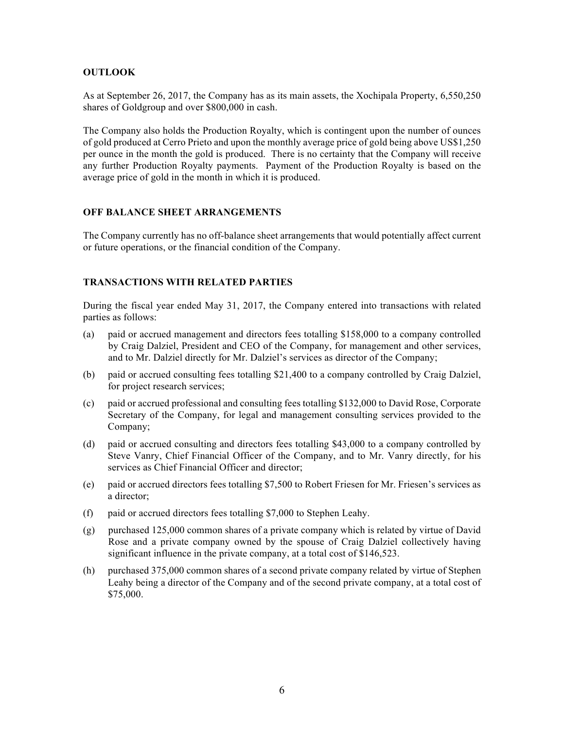## **OUTLOOK**

As at September 26, 2017, the Company has as its main assets, the Xochipala Property, 6,550,250 shares of Goldgroup and over \$800,000 in cash.

The Company also holds the Production Royalty, which is contingent upon the number of ounces of gold produced at Cerro Prieto and upon the monthly average price of gold being above US\$1,250 per ounce in the month the gold is produced. There is no certainty that the Company will receive any further Production Royalty payments. Payment of the Production Royalty is based on the average price of gold in the month in which it is produced.

# **OFF BALANCE SHEET ARRANGEMENTS**

The Company currently has no off-balance sheet arrangements that would potentially affect current or future operations, or the financial condition of the Company.

# **TRANSACTIONS WITH RELATED PARTIES**

During the fiscal year ended May 31, 2017, the Company entered into transactions with related parties as follows:

- (a) paid or accrued management and directors fees totalling \$158,000 to a company controlled by Craig Dalziel, President and CEO of the Company, for management and other services, and to Mr. Dalziel directly for Mr. Dalziel's services as director of the Company;
- (b) paid or accrued consulting fees totalling \$21,400 to a company controlled by Craig Dalziel, for project research services;
- (c) paid or accrued professional and consulting fees totalling \$132,000 to David Rose, Corporate Secretary of the Company, for legal and management consulting services provided to the Company;
- (d) paid or accrued consulting and directors fees totalling \$43,000 to a company controlled by Steve Vanry, Chief Financial Officer of the Company, and to Mr. Vanry directly, for his services as Chief Financial Officer and director;
- (e) paid or accrued directors fees totalling \$7,500 to Robert Friesen for Mr. Friesen's services as a director;
- (f) paid or accrued directors fees totalling \$7,000 to Stephen Leahy.
- (g) purchased 125,000 common shares of a private company which is related by virtue of David Rose and a private company owned by the spouse of Craig Dalziel collectively having significant influence in the private company, at a total cost of \$146,523.
- (h) purchased 375,000 common shares of a second private company related by virtue of Stephen Leahy being a director of the Company and of the second private company, at a total cost of \$75,000.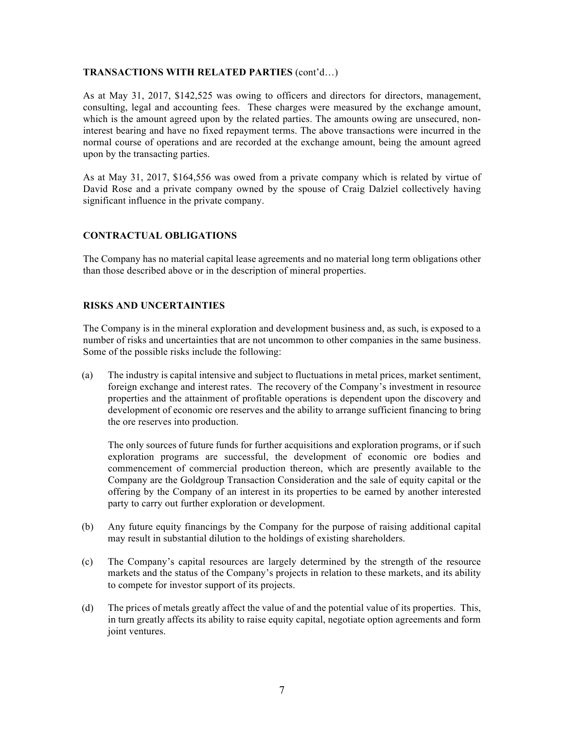## **TRANSACTIONS WITH RELATED PARTIES** (cont'd…)

As at May 31, 2017, \$142,525 was owing to officers and directors for directors, management, consulting, legal and accounting fees. These charges were measured by the exchange amount, which is the amount agreed upon by the related parties. The amounts owing are unsecured, noninterest bearing and have no fixed repayment terms. The above transactions were incurred in the normal course of operations and are recorded at the exchange amount, being the amount agreed upon by the transacting parties.

As at May 31, 2017, \$164,556 was owed from a private company which is related by virtue of David Rose and a private company owned by the spouse of Craig Dalziel collectively having significant influence in the private company.

# **CONTRACTUAL OBLIGATIONS**

The Company has no material capital lease agreements and no material long term obligations other than those described above or in the description of mineral properties.

## **RISKS AND UNCERTAINTIES**

The Company is in the mineral exploration and development business and, as such, is exposed to a number of risks and uncertainties that are not uncommon to other companies in the same business. Some of the possible risks include the following:

(a) The industry is capital intensive and subject to fluctuations in metal prices, market sentiment, foreign exchange and interest rates. The recovery of the Company's investment in resource properties and the attainment of profitable operations is dependent upon the discovery and development of economic ore reserves and the ability to arrange sufficient financing to bring the ore reserves into production.

The only sources of future funds for further acquisitions and exploration programs, or if such exploration programs are successful, the development of economic ore bodies and commencement of commercial production thereon, which are presently available to the Company are the Goldgroup Transaction Consideration and the sale of equity capital or the offering by the Company of an interest in its properties to be earned by another interested party to carry out further exploration or development.

- (b) Any future equity financings by the Company for the purpose of raising additional capital may result in substantial dilution to the holdings of existing shareholders.
- (c) The Company's capital resources are largely determined by the strength of the resource markets and the status of the Company's projects in relation to these markets, and its ability to compete for investor support of its projects.
- (d) The prices of metals greatly affect the value of and the potential value of its properties. This, in turn greatly affects its ability to raise equity capital, negotiate option agreements and form joint ventures.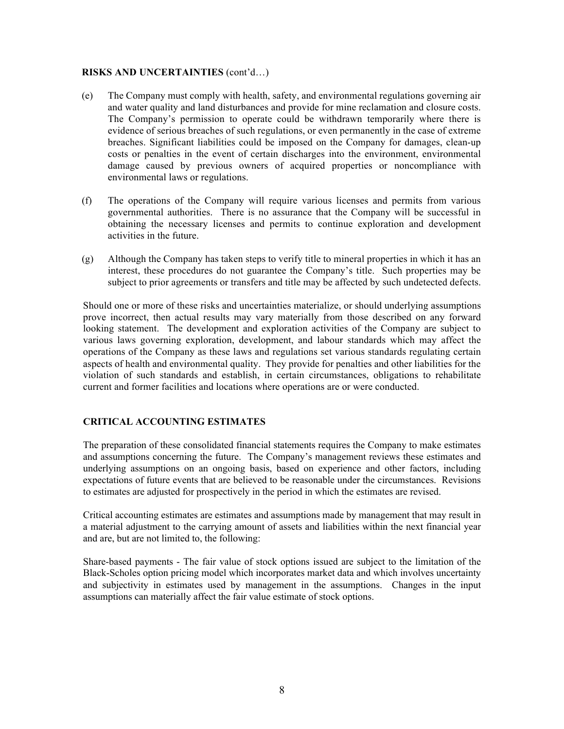#### **RISKS AND UNCERTAINTIES** (cont'd…)

- (e) The Company must comply with health, safety, and environmental regulations governing air and water quality and land disturbances and provide for mine reclamation and closure costs. The Company's permission to operate could be withdrawn temporarily where there is evidence of serious breaches of such regulations, or even permanently in the case of extreme breaches. Significant liabilities could be imposed on the Company for damages, clean-up costs or penalties in the event of certain discharges into the environment, environmental damage caused by previous owners of acquired properties or noncompliance with environmental laws or regulations.
- (f) The operations of the Company will require various licenses and permits from various governmental authorities. There is no assurance that the Company will be successful in obtaining the necessary licenses and permits to continue exploration and development activities in the future.
- (g) Although the Company has taken steps to verify title to mineral properties in which it has an interest, these procedures do not guarantee the Company's title. Such properties may be subject to prior agreements or transfers and title may be affected by such undetected defects.

Should one or more of these risks and uncertainties materialize, or should underlying assumptions prove incorrect, then actual results may vary materially from those described on any forward looking statement. The development and exploration activities of the Company are subject to various laws governing exploration, development, and labour standards which may affect the operations of the Company as these laws and regulations set various standards regulating certain aspects of health and environmental quality. They provide for penalties and other liabilities for the violation of such standards and establish, in certain circumstances, obligations to rehabilitate current and former facilities and locations where operations are or were conducted.

# **CRITICAL ACCOUNTING ESTIMATES**

The preparation of these consolidated financial statements requires the Company to make estimates and assumptions concerning the future. The Company's management reviews these estimates and underlying assumptions on an ongoing basis, based on experience and other factors, including expectations of future events that are believed to be reasonable under the circumstances. Revisions to estimates are adjusted for prospectively in the period in which the estimates are revised.

Critical accounting estimates are estimates and assumptions made by management that may result in a material adjustment to the carrying amount of assets and liabilities within the next financial year and are, but are not limited to, the following:

Share-based payments - The fair value of stock options issued are subject to the limitation of the Black-Scholes option pricing model which incorporates market data and which involves uncertainty and subjectivity in estimates used by management in the assumptions. Changes in the input assumptions can materially affect the fair value estimate of stock options.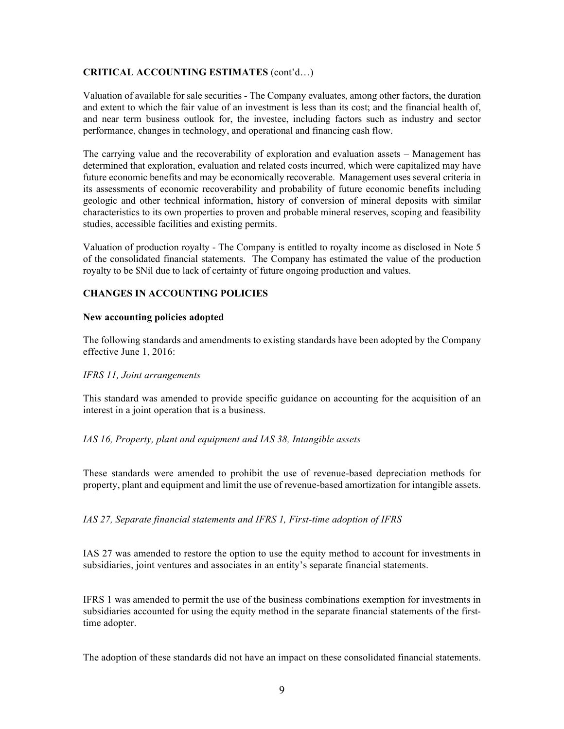## **CRITICAL ACCOUNTING ESTIMATES** (cont'd…)

Valuation of available for sale securities - The Company evaluates, among other factors, the duration and extent to which the fair value of an investment is less than its cost; and the financial health of, and near term business outlook for, the investee, including factors such as industry and sector performance, changes in technology, and operational and financing cash flow.

The carrying value and the recoverability of exploration and evaluation assets – Management has determined that exploration, evaluation and related costs incurred, which were capitalized may have future economic benefits and may be economically recoverable. Management uses several criteria in its assessments of economic recoverability and probability of future economic benefits including geologic and other technical information, history of conversion of mineral deposits with similar characteristics to its own properties to proven and probable mineral reserves, scoping and feasibility studies, accessible facilities and existing permits.

Valuation of production royalty - The Company is entitled to royalty income as disclosed in Note 5 of the consolidated financial statements. The Company has estimated the value of the production royalty to be \$Nil due to lack of certainty of future ongoing production and values.

# **CHANGES IN ACCOUNTING POLICIES**

#### **New accounting policies adopted**

The following standards and amendments to existing standards have been adopted by the Company effective June 1, 2016:

## *IFRS 11, Joint arrangements*

This standard was amended to provide specific guidance on accounting for the acquisition of an interest in a joint operation that is a business.

## *IAS 16, Property, plant and equipment and IAS 38, Intangible assets*

These standards were amended to prohibit the use of revenue-based depreciation methods for property, plant and equipment and limit the use of revenue-based amortization for intangible assets.

*IAS 27, Separate financial statements and IFRS 1, First-time adoption of IFRS*

IAS 27 was amended to restore the option to use the equity method to account for investments in subsidiaries, joint ventures and associates in an entity's separate financial statements.

IFRS 1 was amended to permit the use of the business combinations exemption for investments in subsidiaries accounted for using the equity method in the separate financial statements of the firsttime adopter.

The adoption of these standards did not have an impact on these consolidated financial statements.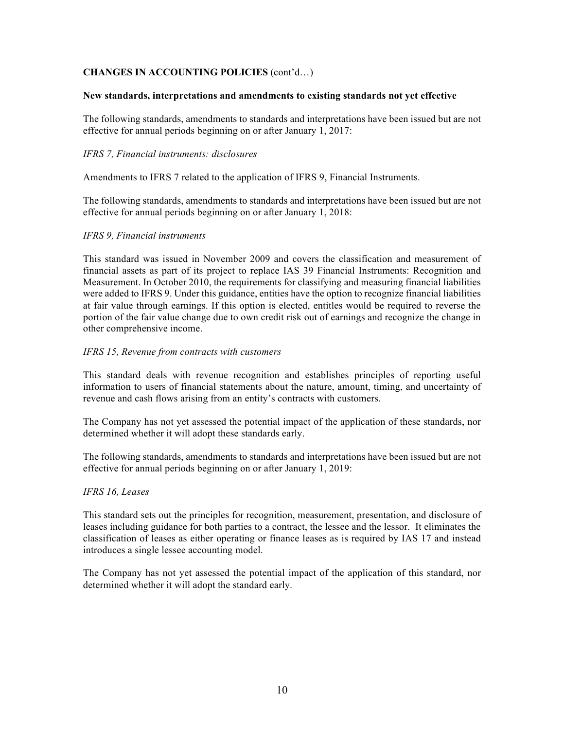# **CHANGES IN ACCOUNTING POLICIES** (cont'd…)

#### **New standards, interpretations and amendments to existing standards not yet effective**

The following standards, amendments to standards and interpretations have been issued but are not effective for annual periods beginning on or after January 1, 2017:

#### *IFRS 7, Financial instruments: disclosures*

Amendments to IFRS 7 related to the application of IFRS 9, Financial Instruments.

The following standards, amendments to standards and interpretations have been issued but are not effective for annual periods beginning on or after January 1, 2018:

#### *IFRS 9, Financial instruments*

This standard was issued in November 2009 and covers the classification and measurement of financial assets as part of its project to replace IAS 39 Financial Instruments: Recognition and Measurement. In October 2010, the requirements for classifying and measuring financial liabilities were added to IFRS 9. Under this guidance, entities have the option to recognize financial liabilities at fair value through earnings. If this option is elected, entitles would be required to reverse the portion of the fair value change due to own credit risk out of earnings and recognize the change in other comprehensive income.

#### *IFRS 15, Revenue from contracts with customers*

This standard deals with revenue recognition and establishes principles of reporting useful information to users of financial statements about the nature, amount, timing, and uncertainty of revenue and cash flows arising from an entity's contracts with customers.

The Company has not yet assessed the potential impact of the application of these standards, nor determined whether it will adopt these standards early.

The following standards, amendments to standards and interpretations have been issued but are not effective for annual periods beginning on or after January 1, 2019:

#### *IFRS 16, Leases*

This standard sets out the principles for recognition, measurement, presentation, and disclosure of leases including guidance for both parties to a contract, the lessee and the lessor. It eliminates the classification of leases as either operating or finance leases as is required by IAS 17 and instead introduces a single lessee accounting model.

The Company has not yet assessed the potential impact of the application of this standard, nor determined whether it will adopt the standard early.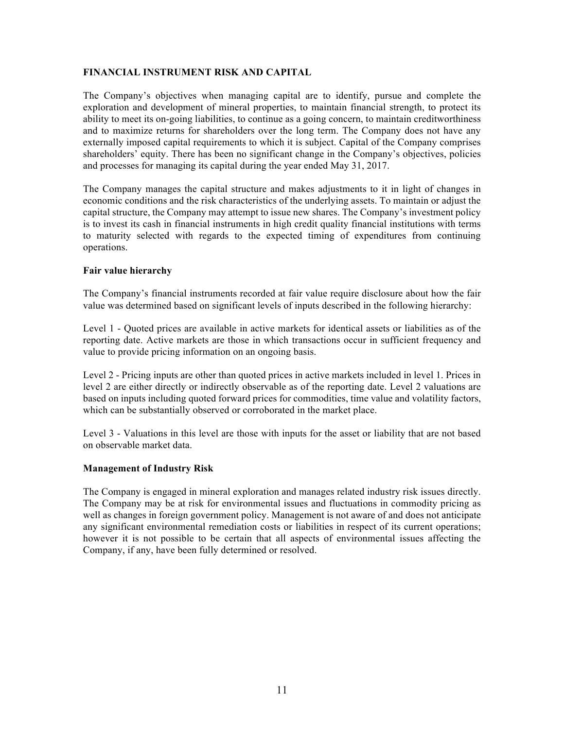## **FINANCIAL INSTRUMENT RISK AND CAPITAL**

The Company's objectives when managing capital are to identify, pursue and complete the exploration and development of mineral properties, to maintain financial strength, to protect its ability to meet its on-going liabilities, to continue as a going concern, to maintain creditworthiness and to maximize returns for shareholders over the long term. The Company does not have any externally imposed capital requirements to which it is subject. Capital of the Company comprises shareholders' equity. There has been no significant change in the Company's objectives, policies and processes for managing its capital during the year ended May 31, 2017.

The Company manages the capital structure and makes adjustments to it in light of changes in economic conditions and the risk characteristics of the underlying assets. To maintain or adjust the capital structure, the Company may attempt to issue new shares. The Company's investment policy is to invest its cash in financial instruments in high credit quality financial institutions with terms to maturity selected with regards to the expected timing of expenditures from continuing operations.

## **Fair value hierarchy**

The Company's financial instruments recorded at fair value require disclosure about how the fair value was determined based on significant levels of inputs described in the following hierarchy:

Level 1 - Quoted prices are available in active markets for identical assets or liabilities as of the reporting date. Active markets are those in which transactions occur in sufficient frequency and value to provide pricing information on an ongoing basis.

Level 2 - Pricing inputs are other than quoted prices in active markets included in level 1. Prices in level 2 are either directly or indirectly observable as of the reporting date. Level 2 valuations are based on inputs including quoted forward prices for commodities, time value and volatility factors, which can be substantially observed or corroborated in the market place.

Level 3 - Valuations in this level are those with inputs for the asset or liability that are not based on observable market data.

## **Management of Industry Risk**

The Company is engaged in mineral exploration and manages related industry risk issues directly. The Company may be at risk for environmental issues and fluctuations in commodity pricing as well as changes in foreign government policy. Management is not aware of and does not anticipate any significant environmental remediation costs or liabilities in respect of its current operations; however it is not possible to be certain that all aspects of environmental issues affecting the Company, if any, have been fully determined or resolved.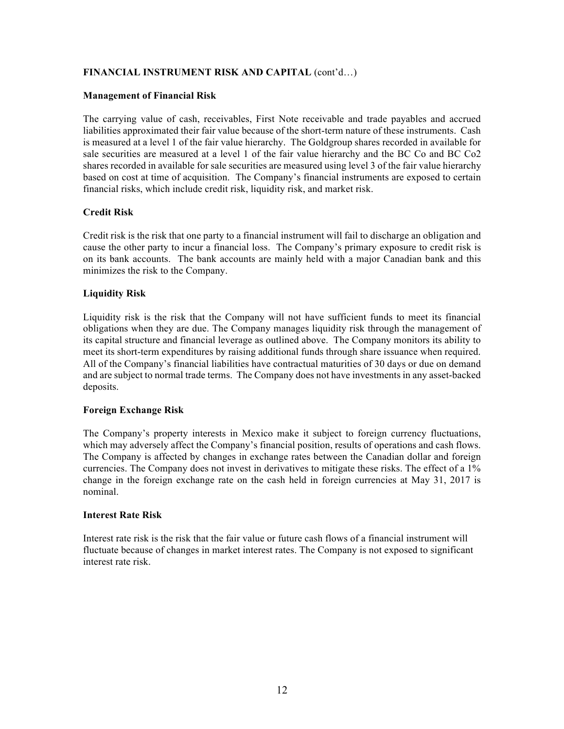# **FINANCIAL INSTRUMENT RISK AND CAPITAL** (cont'd…)

#### **Management of Financial Risk**

The carrying value of cash, receivables, First Note receivable and trade payables and accrued liabilities approximated their fair value because of the short-term nature of these instruments. Cash is measured at a level 1 of the fair value hierarchy. The Goldgroup shares recorded in available for sale securities are measured at a level 1 of the fair value hierarchy and the BC Co and BC Co2 shares recorded in available for sale securities are measured using level 3 of the fair value hierarchy based on cost at time of acquisition. The Company's financial instruments are exposed to certain financial risks, which include credit risk, liquidity risk, and market risk.

# **Credit Risk**

Credit risk is the risk that one party to a financial instrument will fail to discharge an obligation and cause the other party to incur a financial loss. The Company's primary exposure to credit risk is on its bank accounts. The bank accounts are mainly held with a major Canadian bank and this minimizes the risk to the Company.

# **Liquidity Risk**

Liquidity risk is the risk that the Company will not have sufficient funds to meet its financial obligations when they are due. The Company manages liquidity risk through the management of its capital structure and financial leverage as outlined above. The Company monitors its ability to meet its short-term expenditures by raising additional funds through share issuance when required. All of the Company's financial liabilities have contractual maturities of 30 days or due on demand and are subject to normal trade terms. The Company does not have investments in any asset-backed deposits.

## **Foreign Exchange Risk**

The Company's property interests in Mexico make it subject to foreign currency fluctuations, which may adversely affect the Company's financial position, results of operations and cash flows. The Company is affected by changes in exchange rates between the Canadian dollar and foreign currencies. The Company does not invest in derivatives to mitigate these risks. The effect of a 1% change in the foreign exchange rate on the cash held in foreign currencies at May 31, 2017 is nominal.

## **Interest Rate Risk**

Interest rate risk is the risk that the fair value or future cash flows of a financial instrument will fluctuate because of changes in market interest rates. The Company is not exposed to significant interest rate risk.